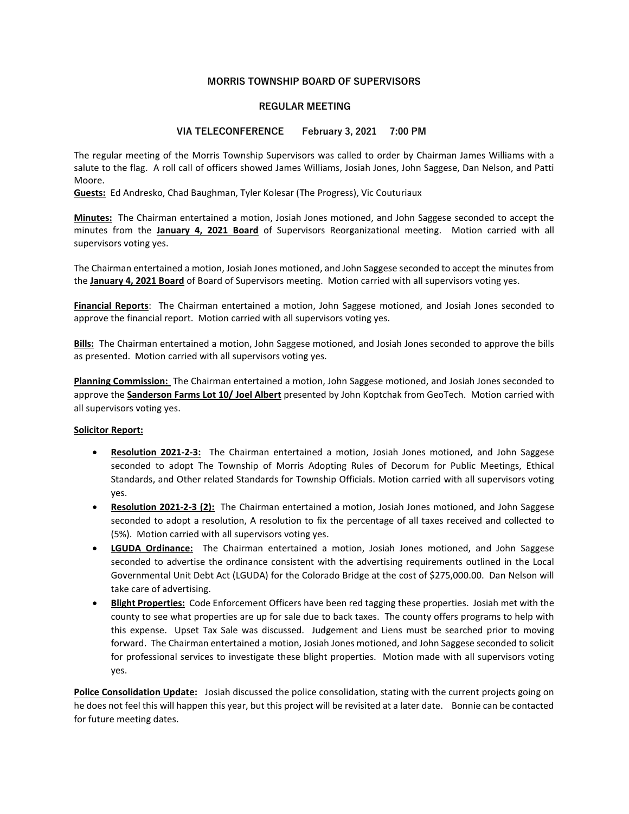# MORRIS TOWNSHIP BOARD OF SUPERVISORS

# REGULAR MEETING

### VIA TELECONFERENCE February 3, 2021 7:00 PM

The regular meeting of the Morris Township Supervisors was called to order by Chairman James Williams with a salute to the flag. A roll call of officers showed James Williams, Josiah Jones, John Saggese, Dan Nelson, and Patti Moore.

Guests: Ed Andresko, Chad Baughman, Tyler Kolesar (The Progress), Vic Couturiaux

Minutes: The Chairman entertained a motion, Josiah Jones motioned, and John Saggese seconded to accept the minutes from the January 4, 2021 Board of Supervisors Reorganizational meeting. Motion carried with all supervisors voting yes.

The Chairman entertained a motion, Josiah Jones motioned, and John Saggese seconded to accept the minutes from the January 4, 2021 Board of Board of Supervisors meeting. Motion carried with all supervisors voting yes.

Financial Reports: The Chairman entertained a motion, John Saggese motioned, and Josiah Jones seconded to approve the financial report. Motion carried with all supervisors voting yes.

Bills: The Chairman entertained a motion, John Saggese motioned, and Josiah Jones seconded to approve the bills as presented. Motion carried with all supervisors voting yes.

Planning Commission: The Chairman entertained a motion, John Saggese motioned, and Josiah Jones seconded to approve the **Sanderson Farms Lot 10/ Joel Albert** presented by John Koptchak from GeoTech. Motion carried with all supervisors voting yes.

### Solicitor Report:

- Resolution 2021-2-3: The Chairman entertained a motion, Josiah Jones motioned, and John Saggese seconded to adopt The Township of Morris Adopting Rules of Decorum for Public Meetings, Ethical Standards, and Other related Standards for Township Officials. Motion carried with all supervisors voting yes.
- Resolution 2021-2-3 (2): The Chairman entertained a motion, Josiah Jones motioned, and John Saggese seconded to adopt a resolution, A resolution to fix the percentage of all taxes received and collected to (5%). Motion carried with all supervisors voting yes.
- LGUDA Ordinance: The Chairman entertained a motion, Josiah Jones motioned, and John Saggese seconded to advertise the ordinance consistent with the advertising requirements outlined in the Local Governmental Unit Debt Act (LGUDA) for the Colorado Bridge at the cost of \$275,000.00. Dan Nelson will take care of advertising.
- **Blight Properties:** Code Enforcement Officers have been red tagging these properties. Josiah met with the county to see what properties are up for sale due to back taxes. The county offers programs to help with this expense. Upset Tax Sale was discussed. Judgement and Liens must be searched prior to moving forward. The Chairman entertained a motion, Josiah Jones motioned, and John Saggese seconded to solicit for professional services to investigate these blight properties. Motion made with all supervisors voting yes.

Police Consolidation Update: Josiah discussed the police consolidation, stating with the current projects going on he does not feel this will happen this year, but this project will be revisited at a later date. Bonnie can be contacted for future meeting dates.